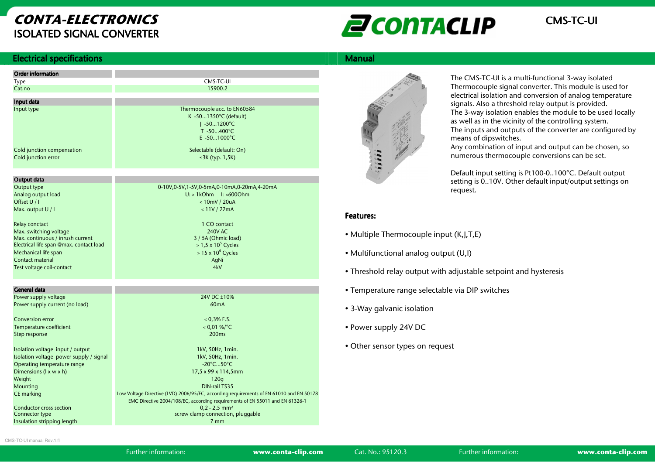# CONTA-ELECTRONICSISOLATED SIGNAL CONVERTER



#### **Electrical specifications** s and the state of the state of the state of the state of the Manual Manual Manual Manual Manual Manual Manual

| <b>Order information</b>                                                    |                                                                                         |
|-----------------------------------------------------------------------------|-----------------------------------------------------------------------------------------|
| Type                                                                        | CMS-TC-UI                                                                               |
| Cat.no                                                                      | 15900.2                                                                                 |
|                                                                             |                                                                                         |
| Input data<br>Input type                                                    | Thermocouple acc. to EN60584                                                            |
|                                                                             | K -501350°C (default)                                                                   |
|                                                                             | $1 - 501200^{\circ}C$                                                                   |
|                                                                             | $T - 50400^{\circ}C$                                                                    |
|                                                                             | $E - 501000$ °C                                                                         |
|                                                                             |                                                                                         |
| Cold junction compensation<br>Cold junction error                           | Selectable (default: On)                                                                |
|                                                                             | $\leq$ 3K (typ. 1,5K)                                                                   |
|                                                                             |                                                                                         |
| Output data                                                                 |                                                                                         |
| Output type                                                                 | 0-10V,0-5V,1-5V,0-5mA,0-10mA,0-20mA,4-20mA                                              |
| Analog output load                                                          | $U:$ > 1kOhm $I:$ <6000hm                                                               |
| Offset U / I                                                                | <10mV / 20uA                                                                            |
| Max. output U / I                                                           | < 11V / 22mA                                                                            |
|                                                                             |                                                                                         |
| Relay conctact                                                              | 1 CO contact                                                                            |
| Max. switching voltage                                                      | 240V AC                                                                                 |
| Max. continuous / inrush current                                            | 3 / 5A (Ohmic load)                                                                     |
| Electrical life span @max. contact load                                     | $> 1.5 \times 10^5$ Cycles                                                              |
| Mechanical life span                                                        | $> 15 \times 10^6$ Cycles                                                               |
| Contact material                                                            | AgNi                                                                                    |
| Test voltage coil-contact                                                   | 4kV                                                                                     |
|                                                                             |                                                                                         |
| General data                                                                |                                                                                         |
| Power supply voltage                                                        | 24V DC +10%                                                                             |
| Power supply current (no load)                                              | 60mA                                                                                    |
|                                                                             |                                                                                         |
| Conversion error                                                            | $0.3\%$ F.S.                                                                            |
| Temperature coefficient                                                     | $< 0.01 %$ %/°C                                                                         |
| Step response                                                               | 200 <sub>ms</sub>                                                                       |
|                                                                             |                                                                                         |
| Isolation voltage input / output<br>Isolation voltage power supply / signal | 1kV, 50Hz, 1 min.<br>1kV, 50Hz, 1min.                                                   |
| Operating temperature range                                                 | $-20^{\circ}$ C50 $^{\circ}$ C                                                          |
| Dimensions (I x w x h)                                                      | 17,5 x 99 x 114,5mm                                                                     |
| Weight                                                                      | 120q                                                                                    |
| Mounting                                                                    | <b>DIN-rail TS35</b>                                                                    |
| CE marking                                                                  | Low Voltage Directive (LVD) 2006/95/EC, according requirements of EN 61010 and EN 50178 |
|                                                                             | EMC Directive 2004/108/EC, according requirements of EN 55011 and EN 61326-1            |
| Conductor cross section                                                     | $0,2 - 2,5$ mm <sup>2</sup>                                                             |
| Connector type                                                              | screw clamp connection, pluggable                                                       |
| Insulation stripping length                                                 | 7 <sub>mm</sub>                                                                         |

# 

The CMS-TC-UI is a multi-functional 3-way isolated Thermocouple signal converter. This module is used for electrical isolation and conversion of analog temperature signals. Also a threshold relay output is provided. The 3-way isolation enables the module to be used locally as well as in the vicinity of the controlling system. The inputs and outputs of the converter are configured by means of dipswitches.

 Any combination of input and output can be chosen, so numerous thermocouple conversions can be set.

Default input setting is Pt100-0..100°C. Default output setting is 0..10V. Other default input/output settings on request.

# Features: Features:

- Multiple Thermocouple input (K,J,T,E)
- Multifunctional analog output (U,I)
- Threshold relay output with adjustable setpoint and hysteresis
- Temperature range selectable via DIP switches
- 3-Way galvanic isolation
- Power supply 24V DC
- Other sensor types on request